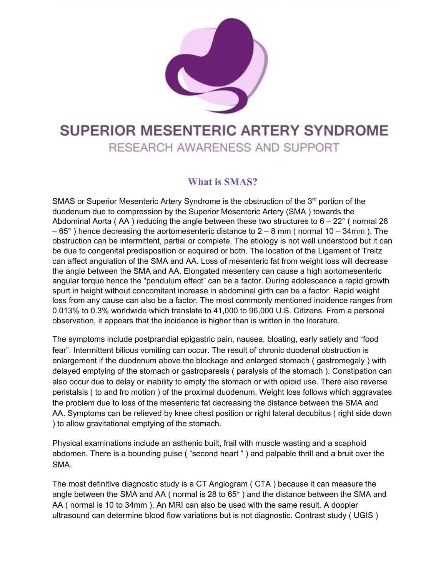

## SUPERIOR MESENTERIC ARTERY SYNDROME

RESEARCH AWARENESS AND SUPPORT

## **What is SMAS?**

SMAS or Superior Mesenteric Artery Syndrome is the obstruction of the 3<sup>rd</sup> portion of the duodenum due to compression by the Superior Mesenteric Artery (SMA ) towards the Abdominal Aorta ( $AA$ ) reducing the angle between these two structures to  $6 - 22^{\circ}$  (normal 28  $-65^{\circ}$ ) hence decreasing the aortomesenteric distance to  $2 - 8$  mm (normal 10 – 34mm). The obstruction can be intermittent, partial or complete. The etiology is not well understood but it can be due to congenital predisposition or acquired or both. The location of the Ligament of Treitz can affect angulation of the SMA and AA. Loss of mesenteric fat from weight loss will decrease the angle between the SMA and AA. Elongated mesentery can cause a high aortomesenteric angular torque hence the "pendulum effect" can be a factor. During adolescence a rapid growth spurt in height without concomitant increase in abdominal girth can be a factor. Rapid weight loss from any cause can also be a factor. The most commonly mentioned incidence ranges from 0.013% to 0.3% worldwide which translate to 41,000 to 96,000 U.S. Citizens. From a personal observation, it appears that the incidence is higher than is written in the literature.

The symptoms include postprandial epigastric pain, nausea, bloating, early satiety and "food fear". Intermittent bilious vomiting can occur. The result of chronic duodenal obstruction is enlargement if the duodenum above the blockage and enlarged stomach ( gastromegaly ) with delayed emptying of the stomach or gastroparesis ( paralysis of the stomach ). Constipation can also occur due to delay or inability to empty the stomach or with opioid use. There also reverse peristalsis ( to and fro motion ) of the proximal duodenum. Weight loss follows which aggravates the problem due to loss of the mesenteric fat decreasing the distance between the SMA and AA. Symptoms can be relieved by knee chest position or right lateral decubitus ( right side down ) to allow gravitational emptying of the stomach.

Physical examinations include an asthenic built, frail with muscle wasting and a scaphoid abdomen. There is a bounding pulse ( "second heart " ) and palpable thrill and a bruit over the SMA.

The most definitive diagnostic study is a CT Angiogram ( CTA ) because it can measure the angle between the SMA and AA ( normal is 28 to 65\* ) and the distance between the SMA and AA ( normal is 10 to 34mm ). An MRI can also be used with the same result. A doppler ultrasound can determine blood flow variations but is not diagnostic. Contrast study ( UGIS )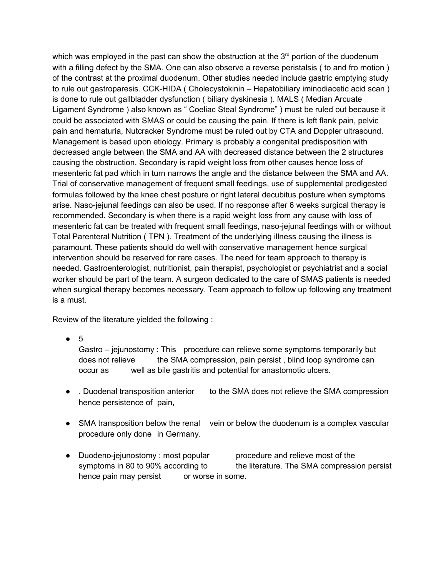which was employed in the past can show the obstruction at the  $3<sup>rd</sup>$  portion of the duodenum with a filling defect by the SMA. One can also observe a reverse peristalsis ( to and fro motion ) of the contrast at the proximal duodenum. Other studies needed include gastric emptying study to rule out gastroparesis. CCK-HIDA ( Cholecystokinin – Hepatobiliary iminodiacetic acid scan ) is done to rule out gallbladder dysfunction ( biliary dyskinesia ). MALS ( Median Arcuate Ligament Syndrome ) also known as " Coeliac Steal Syndrome" ) must be ruled out because it could be associated with SMAS or could be causing the pain. If there is left flank pain, pelvic pain and hematuria, Nutcracker Syndrome must be ruled out by CTA and Doppler ultrasound. Management is based upon etiology. Primary is probably a congenital predisposition with decreased angle between the SMA and AA with decreased distance between the 2 structures causing the obstruction. Secondary is rapid weight loss from other causes hence loss of mesenteric fat pad which in turn narrows the angle and the distance between the SMA and AA. Trial of conservative management of frequent small feedings, use of supplemental predigested formulas followed by the knee chest posture or right lateral decubitus posture when symptoms arise. Naso-jejunal feedings can also be used. If no response after 6 weeks surgical therapy is recommended. Secondary is when there is a rapid weight loss from any cause with loss of mesenteric fat can be treated with frequent small feedings, naso-jejunal feedings with or without Total Parenteral Nutrition ( TPN ). Treatment of the underlying illness causing the illness is paramount. These patients should do well with conservative management hence surgical intervention should be reserved for rare cases. The need for team approach to therapy is needed. Gastroenterologist, nutritionist, pain therapist, psychologist or psychiatrist and a social worker should be part of the team. A surgeon dedicated to the care of SMAS patients is needed when surgical therapy becomes necessary. Team approach to follow up following any treatment is a must.

Review of the literature yielded the following :

● 5

Gastro – jejunostomy : This procedure can relieve some symptoms temporarily but does not relieve the SMA compression, pain persist, blind loop syndrome can occur as well as bile gastritis and potential for anastomotic ulcers.

- . Duodenal transposition anterior to the SMA does not relieve the SMA compression hence persistence of pain,
- SMA transposition below the renal vein or below the duodenum is a complex vascular procedure only done in Germany.
- Duodeno-jejunostomy : most popular procedure and relieve most of the symptoms in 80 to 90% according to the literature. The SMA compression persist hence pain may persist or worse in some.